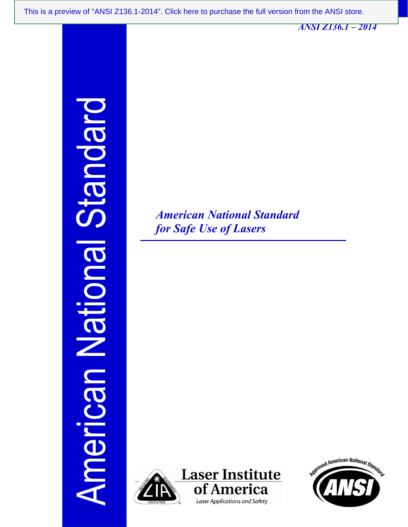*ANSI Z136.1 – 2014* 

American National Standard olepuer **IBUOITBN UB** Americ

*American National Standard for Safe Use of Lasers* 



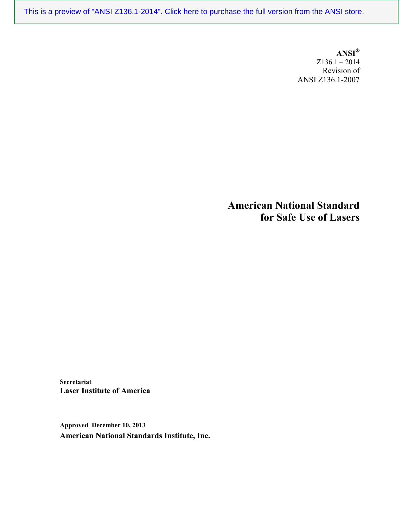**ANSI** Z136.1 – 2014 Revision of ANSI Z136.1-2007

**American National Standard for Safe Use of Lasers** 

**Secretariat Laser Institute of America**

**Approved December 10, 2013 American National Standards Institute, Inc.**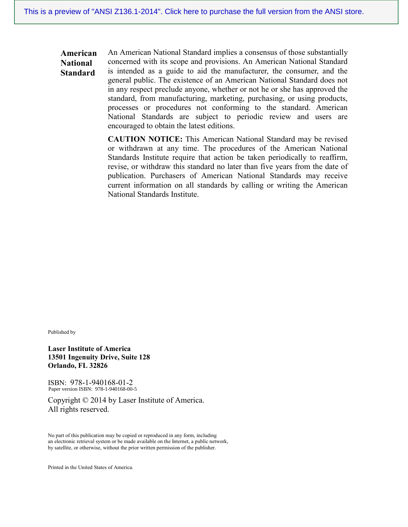**American National Standard** An American National Standard implies a consensus of those substantially concerned with its scope and provisions. An American National Standard is intended as a guide to aid the manufacturer, the consumer, and the general public. The existence of an American National Standard does not in any respect preclude anyone, whether or not he or she has approved the standard, from manufacturing, marketing, purchasing, or using products, processes or procedures not conforming to the standard. American National Standards are subject to periodic review and users are encouraged to obtain the latest editions.

> **CAUTION NOTICE:** This American National Standard may be revised or withdrawn at any time. The procedures of the American National Standards Institute require that action be taken periodically to reaffirm, revise, or withdraw this standard no later than five years from the date of publication. Purchasers of American National Standards may receive current information on all standards by calling or writing the American National Standards Institute.

Published by

**Laser Institute of America 13501 Ingenuity Drive, Suite 128 Orlando, FL 32826**

ISBN: 978-1-940168-01-2 Paper version ISBN: 978-1-940168-00-5

Copyright © 2014 by Laser Institute of America. All rights reserved.

No part of this publication may be copied or reproduced in any form, including an electronic retrieval system or be made available on the Internet, a public network, by satellite, or otherwise, without the prior written permission of the publisher.

Printed in the United States of America.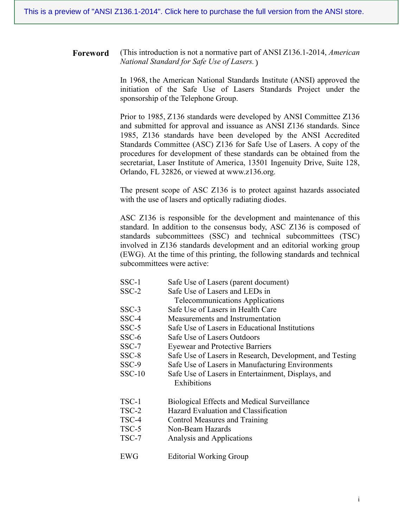**Foreword** (This introduction is not a normative part of ANSI Z136.1-2014, *American National Standard for Safe Use of Lasers.* )

> In 1968, the American National Standards Institute (ANSI) approved the initiation of the Safe Use of Lasers Standards Project under the sponsorship of the Telephone Group.

> Prior to 1985, Z136 standards were developed by ANSI Committee Z136 and submitted for approval and issuance as ANSI Z136 standards. Since 1985, Z136 standards have been developed by the ANSI Accredited Standards Committee (ASC) Z136 for Safe Use of Lasers. A copy of the procedures for development of these standards can be obtained from the secretariat, Laser Institute of America, 13501 Ingenuity Drive, Suite 128, Orlando, FL 32826, or viewed at www.z136.org.

> The present scope of ASC Z136 is to protect against hazards associated with the use of lasers and optically radiating diodes.

> ASC Z136 is responsible for the development and maintenance of this standard. In addition to the consensus body, ASC Z136 is composed of standards subcommittees (SSC) and technical subcommittees (TSC) involved in Z136 standards development and an editorial working group (EWG). At the time of this printing, the following standards and technical subcommittees were active:

- SSC-1 Safe Use of Lasers (parent document)
- SSC-2 Safe Use of Lasers and LEDs in
	- Telecommunications Applications
- SSC-3 Safe Use of Lasers in Health Care
- SSC-4 Measurements and Instrumentation
- SSC-5 Safe Use of Lasers in Educational Institutions
	- SSC-6 Safe Use of Lasers Outdoors
- SSC-7 Eyewear and Protective Barriers
- SSC-8 Safe Use of Lasers in Research, Development, and Testing
- SSC-9 Safe Use of Lasers in Manufacturing Environments
- SSC-10 Safe Use of Lasers in Entertainment, Displays, and Exhibitions
- TSC-1 Biological Effects and Medical Surveillance
- TSC-2 Hazard Evaluation and Classification
- TSC-4 Control Measures and Training
- TSC-5 Non-Beam Hazards
- TSC-7 Analysis and Applications
- EWG Editorial Working Group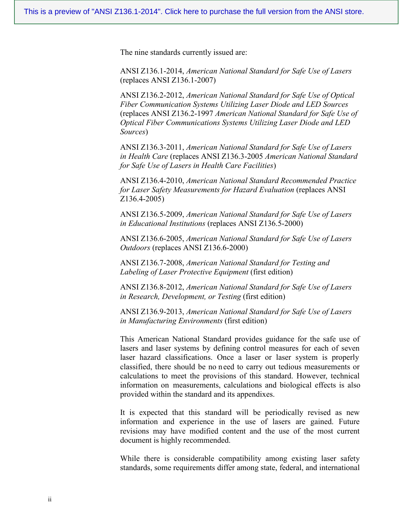The nine standards currently issued are:

ANSI Z136.1-2014, *American National Standard for Safe Use of Lasers* (replaces ANSI Z136.1-2007)

ANSI Z136.2-2012, *American National Standard for Safe Use of Optical Fiber Communication Systems Utilizing Laser Diode and LED Sources*  (replaces ANSI Z136.2-1997 *American National Standard for Safe Use of Optical Fiber Communications Systems Utilizing Laser Diode and LED Sources*)

ANSI Z136.3-2011, *American National Standard for Safe Use of Lasers in Health Care* (replaces ANSI Z136.3-2005 *American National Standard for Safe Use of Lasers in Health Care Facilities*)

ANSI Z136.4-2010, *American National Standard Recommended Practice for Laser Safety Measurements for Hazard Evaluation* (replaces ANSI Z136.4-2005)

ANSI Z136.5-2009, *American National Standard for Safe Use of Lasers in Educational Institutions* (replaces ANSI Z136.5-2000)

ANSI Z136.6-2005, *American National Standard for Safe Use of Lasers Outdoors* (replaces ANSI Z136.6-2000)

ANSI Z136.7-2008, *American National Standard for Testing and Labeling of Laser Protective Equipment* (first edition)

ANSI Z136.8-2012, *American National Standard for Safe Use of Lasers in Research, Development, or Testing* (first edition)

ANSI Z136.9-2013, *American National Standard for Safe Use of Lasers in Manufacturing Environments* (first edition)

This American National Standard provides guidance for the safe use of lasers and laser systems by defining control measures for each of seven laser hazard classifications. Once a laser or laser system is properly classified, there should be no need to carry out tedious measurements or calculations to meet the provisions of this standard. However, technical information on measurements, calculations and biological effects is also provided within the standard and its appendixes.

It is expected that this standard will be periodically revised as new information and experience in the use of lasers are gained. Future revisions may have modified content and the use of the most current document is highly recommended.

While there is considerable compatibility among existing laser safety standards, some requirements differ among state, federal, and international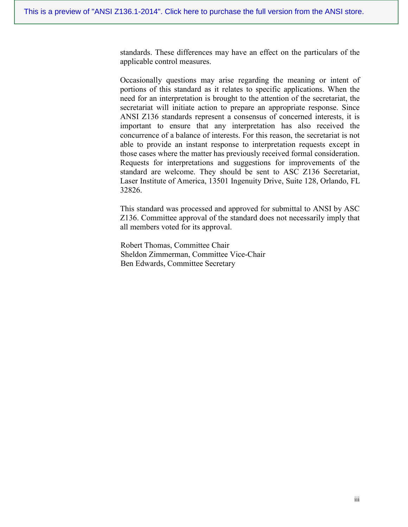standards. These differences may have an effect on the particulars of the applicable control measures.

Occasionally questions may arise regarding the meaning or intent of portions of this standard as it relates to specific applications. When the need for an interpretation is brought to the attention of the secretariat, the secretariat will initiate action to prepare an appropriate response. Since ANSI Z136 standards represent a consensus of concerned interests, it is important to ensure that any interpretation has also received the concurrence of a balance of interests. For this reason, the secretariat is not able to provide an instant response to interpretation requests except in those cases where the matter has previously received formal consideration. Requests for interpretations and suggestions for improvements of the standard are welcome. They should be sent to ASC Z136 Secretariat, Laser Institute of America, 13501 Ingenuity Drive, Suite 128, Orlando, FL 32826.

This standard was processed and approved for submittal to ANSI by ASC Z136. Committee approval of the standard does not necessarily imply that all members voted for its approval.

 Robert Thomas, Committee Chair Sheldon Zimmerman, Committee Vice-Chair Ben Edwards, Committee Secretary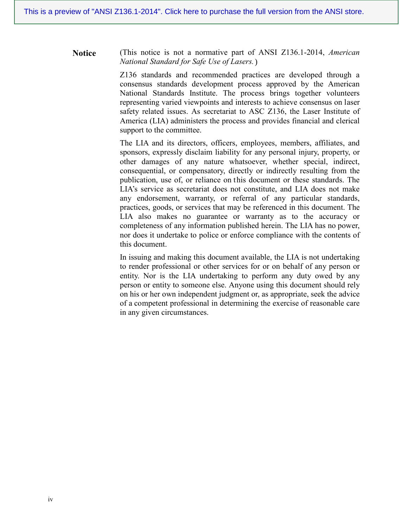**Notice** (This notice is not a normative part of ANSI Z136.1-2014, *American National Standard for Safe Use of Lasers.*  )

> Z136 standards and recommended practices are developed through a consensus standards development process approved by the American National Standards Institute. The process brings together volunteers representing varied viewpoints and interests to achieve consensus on laser safety related issues. As secretariat to ASC Z136, the Laser Institute of America (LIA) administers the process and provides financial and clerical support to the committee.

> The LIA and its directors, officers, employees, members, affiliates, and sponsors, expressly disclaim liability for any personal injury, property, or other damages of any nature whatsoever, whether special, indirect, consequential, or compensatory, directly or indirectly resulting from the publication, use of, or reliance on this document or these standards. The LIA's service as secretariat does not constitute, and LIA does not make any endorsement, warranty, or referral of any particular standards, practices, goods, or services that may be referenced in this document. The LIA also makes no guarantee or warranty as to the accuracy or completeness of any information published herein. The LIA has no power, nor does it undertake to police or enforce compliance with the contents of this document.

> In issuing and making this document available, the LIA is not undertaking to render professional or other services for or on behalf of any person or entity. Nor is the LIA undertaking to perform any duty owed by any person or entity to someone else. Anyone using this document should rely on his or her own independent judgment or, as appropriate, seek the advice of a competent professional in determining the exercise of reasonable care in any given circumstances.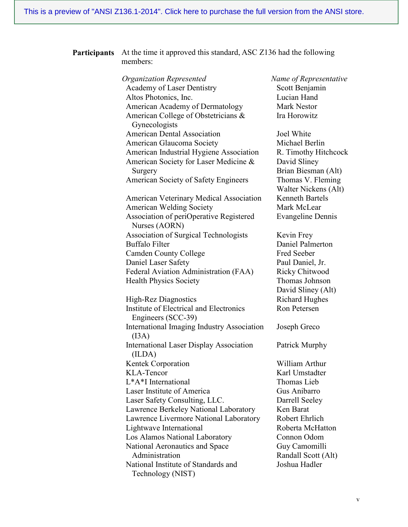### **Participants** At the time it approved this standard, ASC Z136 had the following members:

*Organization Represented Name of Representative* Academy of Laser Dentistry Scott Benjamin Altos Photonics, Inc. Lucian Hand American Academy of Dermatology Mark Nestor American College of Obstetricians & Gynecologists American Dental Association Joel White American Glaucoma Society Michael Berlin American Industrial Hygiene Association R. Timothy Hitchcock American Society for Laser Medicine & Surgery American Society of Safety Engineers Thomas V. Fleming American Veterinary Medical Association Kenneth Bartels American Welding Society Mark McLear Association of periOperative Registered Nurses (AORN) Association of Surgical Technologists Kevin Frey Buffalo Filter Daniel Palmerton Camden County College Fred Seeber Daniel Laser Safety Paul Daniel, Jr. Federal Aviation Administration (FAA) Ricky Chitwood Health Physics Society Thomas Johnson High-Rez Diagnostics Richard Hughes Institute of Electrical and Electronics Engineers (SCC-39) International Imaging Industry Association  $(I3A)$ International Laser Display Association (ILDA) Kentek Corporation William Arthur KLA-Tencor Karl Umstadter L<sup>\*</sup>A<sup>\*</sup>I International Thomas Lieb Laser Institute of America Gus Anibarro Laser Safety Consulting, LLC. Darrell Seeley Lawrence Berkeley National Laboratory Ken Barat Lawrence Livermore National Laboratory Robert Ehrlich Lightwave International Roberta McHatton Los Alamos National Laboratory Connon Odom National Aeronautics and Space Administration National Institute of Standards and Technology (NIST)

Ira Horowitz

David Sliney Brian Biesman (Alt) Walter Nickens (Alt) Evangeline Dennis

David Sliney (Alt) Ron Petersen

Joseph Greco

Patrick Murphy

Guy Camomilli Randall Scott (Alt) Joshua Hadler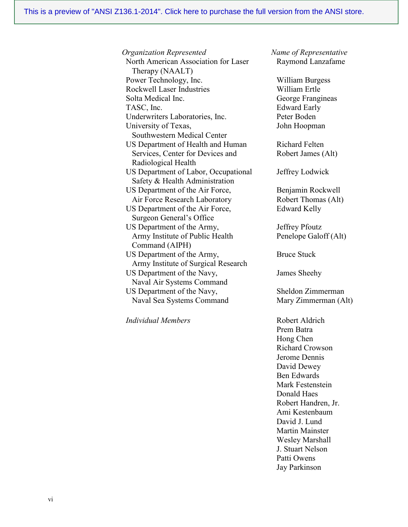*Organization Represented Name of Representative* North American Association for Laser Therapy (NAALT) Power Technology, Inc. William Burgess Rockwell Laser Industries William Ertle Solta Medical Inc. **George Frangineas** TASC, Inc. Edward Early Underwriters Laboratories, Inc. Peter Boden University of Texas, Southwestern Medical Center US Department of Health and Human Services, Center for Devices and Radiological Health US Department of Labor, Occupational Safety & Health Administration US Department of the Air Force, Air Force Research Laboratory US Department of the Air Force, Surgeon General's Office US Department of the Army, Army Institute of Public Health Command (AIPH) US Department of the Army, Army Institute of Surgical Research US Department of the Navy, Naval Air Systems Command US Department of the Navy, Naval Sea Systems Command

*Individual Members* Robert Aldrich

Raymond Lanzafame

John Hoopman

Richard Felten Robert James (Alt)

Jeffrey Lodwick

Benjamin Rockwell Robert Thomas (Alt) Edward Kelly

Jeffrey Pfoutz Penelope Galoff (Alt)

Bruce Stuck

James Sheehy

Sheldon Zimmerman Mary Zimmerman (Alt)

Prem Batra Hong Chen Richard Crowson Jerome Dennis David Dewey Ben Edwards Mark Festenstein Donald Haes Robert Handren, Jr. Ami Kestenbaum David J. Lund Martin Mainster Wesley Marshall J. Stuart Nelson Patti Owens Jay Parkinson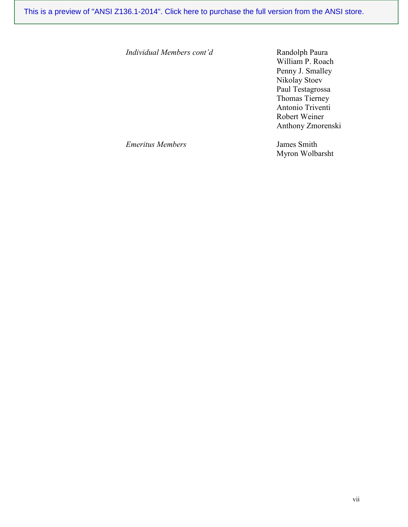*Individual Members cont'd* Randolph Paura

William P. Roach Penny J. Smalley Nikolay Stoev Paul Testagrossa Thomas Tierney Antonio Triventi Robert Weiner Anthony Zmorenski

*Emeritus Members* James Smith

Myron Wolbarsht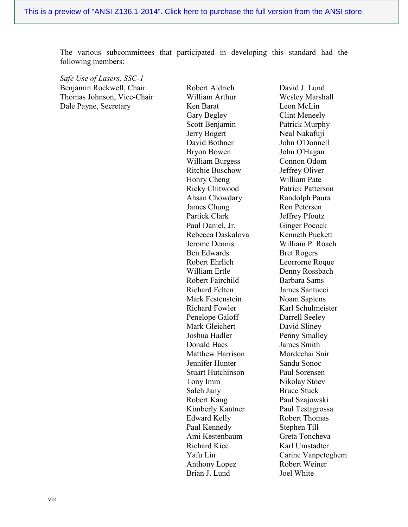The various subcommittees that participated in developing this standard had the following members:

*Safe Use of Lasers, SSC-1* Benjamin Rockwell, Chair Thomas Johnson, Vice-Chair Dale Payne, Secretary

Robert Aldrich William Arthur Ken Barat Gary Begley Scott Benjamin Jerry Bogert David Bothner Bryon Bowen William Burgess Ritchie Buschow Honry Cheng Ricky Chitwood Ahsan Chowdary James Chung Partick Clark Paul Daniel, Jr. Rebecca Daskalova Jerome Dennis Ben Edwards Robert Ehrlich William Ertle Robert Fairchild Richard Felten Mark Festenstein Richard Fowler Penelope Galoff Mark Gleichert Joshua Hadler Donald Haes Matthew Harrison Jennifer Hunter Stuart Hutchinson Tony Imm Saleh Jany Robert Kang Kimberly Kantner Edward Kelly Paul Kennedy Ami Kestenbaum Richard Kice Yafu Lin Anthony Lopez Brian J. Lund

David J. Lund Wesley Marshall Leon McLin Clint Meneely Patrick Murphy Neal Nakafuji John O'Donnell John O'Hagan Connon Odom Jeffrey Oliver William Pate Patrick Patterson Randolph Paura Ron Petersen Jeffrey Pfoutz Ginger Pocock Kenneth Puckett William P. Roach Bret Rogers Leorrorne Roque Denny Rossbach Barbara Sams James Santucci Noam Sapiens Karl Schulmeister Darrell Seeley David Sliney Penny Smalley James Smith Mordechai Snir Sandu Sonoc Paul Sorensen Nikolay Stoev Bruce Stuck Paul Szajowski Paul Testagrossa Robert Thomas Stephen Till Greta Toncheva Karl Umstadter Carine Vanpeteghem Robert Weiner Joel White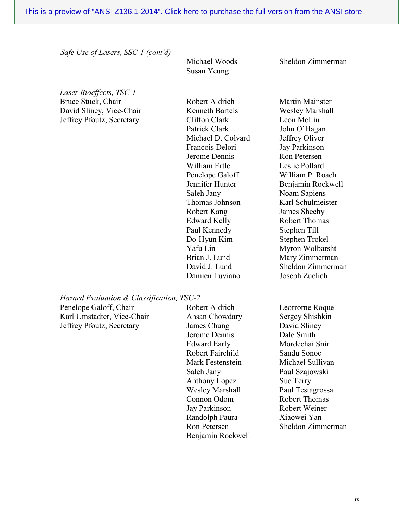*Safe Use of Lasers, SSC-1 (cont'd)*

Michael Woods Susan Yeung

Sheldon Zimmerman

Martin Mainster

*Laser Bioeffects, TSC-1* Bruce Stuck, Chair David Sliney, Vice-Chair Jeffrey Pfoutz, Secretary

Robert Aldrich Kenneth Bartels Clifton Clark Patrick Clark Michael D. Colvard Francois Delori Jerome Dennis William Ertle Penelope Galoff Jennifer Hunter Saleh Jany Thomas Johnson Robert Kang Edward Kelly Paul Kennedy Do-Hyun Kim Yafu Lin Brian J. Lund David J. Lund Damien Luviano

Wesley Marshall Leon McLin John O'Hagan Jeffrey Oliver Jay Parkinson Ron Petersen Leslie Pollard William P. Roach Benjamin Rockwell Noam Sapiens Karl Schulmeister James Sheehy Robert Thomas Stephen Till Stephen Trokel Myron Wolbarsht Mary Zimmerman Sheldon Zimmerman Joseph Zuclich

*Hazard Evaluation & Classification, TSC-2*

Penelope Galoff, Chair Karl Umstadter, Vice-Chair Jeffrey Pfoutz, Secretary

Robert Aldrich Ahsan Chowdary James Chung Jerome Dennis Edward Early Robert Fairchild Mark Festenstein Saleh Jany Anthony Lopez Wesley Marshall Connon Odom Jay Parkinson Randolph Paura Ron Petersen Benjamin Rockwell

Leorrorne Roque Sergey Shishkin David Sliney Dale Smith Mordechai Snir Sandu Sonoc Michael Sullivan Paul Szajowski Sue Terry Paul Testagrossa Robert Thomas Robert Weiner Xiaowei Yan Sheldon Zimmerman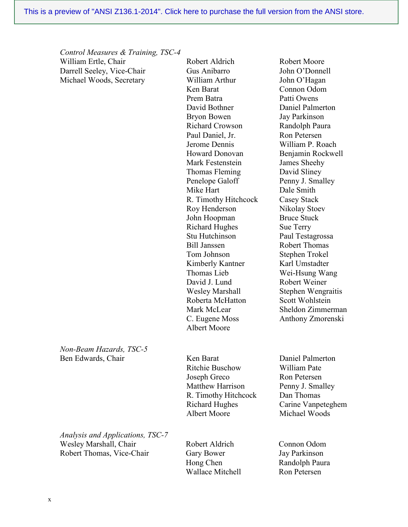Robert Aldrich Gus Anibarro William Arthur

*Control Measures & Training, TSC-4* William Ertle, Chair Darrell Seeley, Vice-Chair Michael Woods, Secretary

> Ken Barat Prem Batra David Bothner Bryon Bowen Richard Crowson Paul Daniel, Jr. Jerome Dennis Howard Donovan Mark Festenstein Thomas Fleming Penelope Galoff Mike Hart R. Timothy Hitchcock Roy Henderson John Hoopman Richard Hughes Stu Hutchinson Bill Janssen Tom Johnson Kimberly Kantner Thomas Lieb David J. Lund Wesley Marshall Roberta McHatton Mark McLear C. Eugene Moss Albert Moore

John O'Hagan Connon Odom Patti Owens Daniel Palmerton Jay Parkinson Randolph Paura Ron Petersen William P. Roach Benjamin Rockwell James Sheehy David Sliney Penny J. Smalley Dale Smith Casey Stack Nikolay Stoev Bruce Stuck Sue Terry Paul Testagrossa Robert Thomas Stephen Trokel Karl Umstadter Wei-Hsung Wang Robert Weiner Stephen Wengraitis Scott Wohlstein Sheldon Zimmerman Anthony Zmorenski

Robert Moore John O'Donnell

*Non-Beam Hazards, TSC-5* Ben Edwards, Chair Ken Barat

Ritchie Buschow Joseph Greco Matthew Harrison R. Timothy Hitchcock Richard Hughes Albert Moore

*Analysis and Applications, TSC-7* Wesley Marshall, Chair Robert Thomas, Vice-Chair

Robert Aldrich Gary Bower Hong Chen Wallace Mitchell

Daniel Palmerton William Pate Ron Petersen Penny J. Smalley Dan Thomas Carine Vanpeteghem Michael Woods

Connon Odom Jay Parkinson Randolph Paura Ron Petersen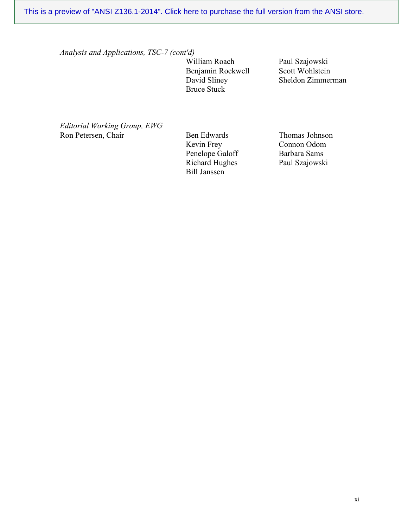*Analysis and Applications, TSC-7 (cont'd)*

William Roach Benjamin Rockwell David Sliney Bruce Stuck

Paul Szajowski Scott Wohlstein Sheldon Zimmerman

*Editorial Working Group, EWG* Ron Petersen, Chair Ben Edwards

Kevin Frey Penelope Galoff Richard Hughes Bill Janssen

Thomas Johnson Connon Odom Barbara Sams Paul Szajowski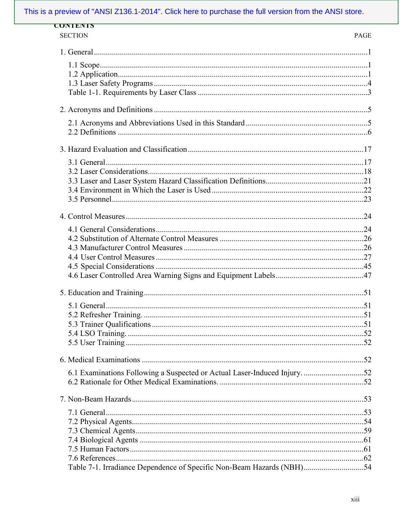| <b>CONTENTS</b>                                                           |             |
|---------------------------------------------------------------------------|-------------|
| <b>SECTION</b>                                                            | <b>PAGE</b> |
|                                                                           |             |
|                                                                           |             |
|                                                                           |             |
|                                                                           |             |
|                                                                           |             |
|                                                                           |             |
|                                                                           |             |
|                                                                           |             |
|                                                                           |             |
|                                                                           |             |
|                                                                           |             |
|                                                                           |             |
|                                                                           |             |
|                                                                           |             |
|                                                                           |             |
|                                                                           |             |
|                                                                           |             |
|                                                                           |             |
|                                                                           |             |
|                                                                           |             |
|                                                                           |             |
|                                                                           |             |
|                                                                           |             |
|                                                                           |             |
| 6.1 Examinations Following a Suspected or Actual Laser-Induced Injury. 52 |             |
|                                                                           |             |
|                                                                           |             |
|                                                                           |             |
|                                                                           |             |
|                                                                           |             |
|                                                                           |             |
|                                                                           |             |
|                                                                           |             |
| Table 7-1. Irradiance Dependence of Specific Non-Beam Hazards (NBH)54     |             |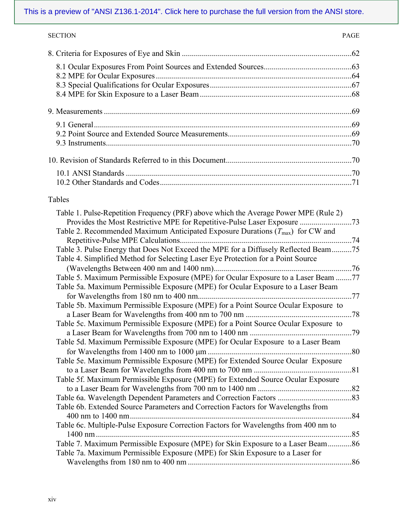| <b>SECTION</b> | <b>PAGE</b> |
|----------------|-------------|
|                |             |
|                |             |
|                |             |
|                |             |
|                |             |
|                |             |
|                |             |
|                |             |
|                |             |
|                |             |
|                |             |
|                |             |

# Tables

| Table 1. Pulse-Repetition Frequency (PRF) above which the Average Power MPE (Rule 2)      |
|-------------------------------------------------------------------------------------------|
| Provides the Most Restrictive MPE for Repetitive-Pulse Laser Exposure 73                  |
| Table 2. Recommended Maximum Anticipated Exposure Durations $(T_{\text{max}})$ for CW and |
|                                                                                           |
| Table 3. Pulse Energy that Does Not Exceed the MPE for a Diffusely Reflected Beam75       |
| Table 4. Simplified Method for Selecting Laser Eye Protection for a Point Source          |
|                                                                                           |
| Table 5. Maximum Permissible Exposure (MPE) for Ocular Exposure to a Laser Beam 77        |
| Table 5a. Maximum Permissible Exposure (MPE) for Ocular Exposure to a Laser Beam          |
|                                                                                           |
| Table 5b. Maximum Permissible Exposure (MPE) for a Point Source Ocular Exposure to        |
|                                                                                           |
| Table 5c. Maximum Permissible Exposure (MPE) for a Point Source Ocular Exposure to        |
|                                                                                           |
| Table 5d. Maximum Permissible Exposure (MPE) for Ocular Exposure to a Laser Beam          |
|                                                                                           |
| Table 5e. Maximum Permissible Exposure (MPE) for Extended Source Ocular Exposure          |
|                                                                                           |
| Table 5f. Maximum Permissible Exposure (MPE) for Extended Source Ocular Exposure          |
|                                                                                           |
|                                                                                           |
| Table 6b. Extended Source Parameters and Correction Factors for Wavelengths from          |
|                                                                                           |
| Table 6c. Multiple-Pulse Exposure Correction Factors for Wavelengths from 400 nm to       |
|                                                                                           |
| Table 7. Maximum Permissible Exposure (MPE) for Skin Exposure to a Laser Beam86           |
| Table 7a. Maximum Permissible Exposure (MPE) for Skin Exposure to a Laser for             |
|                                                                                           |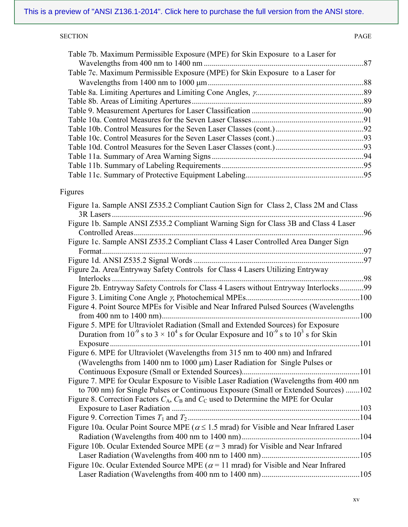### SECTION PAGE

| Table 7b. Maximum Permissible Exposure (MPE) for Skin Exposure to a Laser for |  |
|-------------------------------------------------------------------------------|--|
| Table 7c. Maximum Permissible Exposure (MPE) for Skin Exposure to a Laser for |  |
|                                                                               |  |
|                                                                               |  |
|                                                                               |  |
|                                                                               |  |
|                                                                               |  |
|                                                                               |  |
|                                                                               |  |
|                                                                               |  |
|                                                                               |  |
|                                                                               |  |
|                                                                               |  |

# Figures

| Figure 1a. Sample ANSI Z535.2 Compliant Caution Sign for Class 2, Class 2M and Class                        |
|-------------------------------------------------------------------------------------------------------------|
| 3R Lasers<br>96                                                                                             |
| Figure 1b. Sample ANSI Z535.2 Compliant Warning Sign for Class 3B and Class 4 Laser                         |
| 96                                                                                                          |
| Figure 1c. Sample ANSI Z535.2 Compliant Class 4 Laser Controlled Area Danger Sign                           |
| Format                                                                                                      |
|                                                                                                             |
| Figure 2a. Area/Entryway Safety Controls for Class 4 Lasers Utilizing Entryway                              |
| .98                                                                                                         |
| Figure 2b. Entryway Safety Controls for Class 4 Lasers without Entryway Interlocks99                        |
|                                                                                                             |
| Figure 4. Point Source MPEs for Visible and Near Infrared Pulsed Sources (Wavelengths                       |
|                                                                                                             |
| Figure 5. MPE for Ultraviolet Radiation (Small and Extended Sources) for Exposure                           |
| Duration from $10^{-9}$ s to $3 \times 10^{4}$ s for Ocular Exposure and $10^{-9}$ s to $10^{3}$ s for Skin |
| 101                                                                                                         |
| Figure 6. MPE for Ultraviolet (Wavelengths from 315 nm to 400 nm) and Infrared                              |
| (Wavelengths from 1400 nm to 1000 $\mu$ m) Laser Radiation for Single Pulses or                             |
|                                                                                                             |
| Figure 7. MPE for Ocular Exposure to Visible Laser Radiation (Wavelengths from 400 nm                       |
| to 700 nm) for Single Pulses or Continuous Exposure (Small or Extended Sources) 102                         |
| Figure 8. Correction Factors $C_A$ , $C_B$ and $C_C$ used to Determine the MPE for Ocular                   |
|                                                                                                             |
|                                                                                                             |
| Figure 10a. Ocular Point Source MPE ( $\alpha \le 1.5$ mrad) for Visible and Near Infrared Laser            |
|                                                                                                             |
| Figure 10b. Ocular Extended Source MPE ( $\alpha$ = 3 mrad) for Visible and Near Infrared                   |
|                                                                                                             |
| Figure 10c. Ocular Extended Source MPE ( $\alpha$ = 11 mrad) for Visible and Near Infrared                  |
|                                                                                                             |
|                                                                                                             |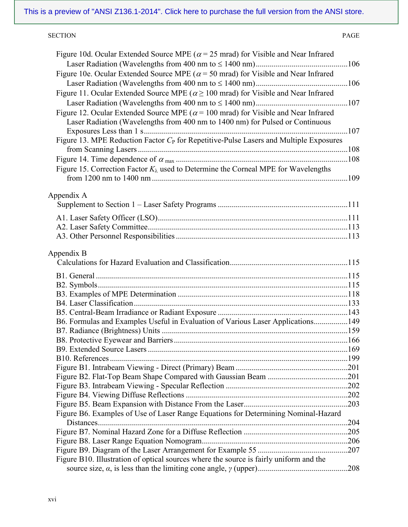### SECTION PAGE

| Figure 10d. Ocular Extended Source MPE ( $\alpha$ = 25 mrad) for Visible and Near Infrared   |      |
|----------------------------------------------------------------------------------------------|------|
|                                                                                              |      |
| Figure 10e. Ocular Extended Source MPE ( $\alpha$ = 50 mrad) for Visible and Near Infrared   |      |
|                                                                                              |      |
| Figure 11. Ocular Extended Source MPE ( $\alpha \ge 100$ mrad) for Visible and Near Infrared |      |
|                                                                                              |      |
| Figure 12. Ocular Extended Source MPE ( $\alpha$ = 100 mrad) for Visible and Near Infrared   |      |
| Laser Radiation (Wavelengths from 400 nm to 1400 nm) for Pulsed or Continuous                |      |
|                                                                                              |      |
| Figure 13. MPE Reduction Factor $C_P$ for Repetitive-Pulse Lasers and Multiple Exposures     |      |
|                                                                                              |      |
|                                                                                              |      |
| Figure 15. Correction Factor $K_{\lambda}$ used to Determine the Corneal MPE for Wavelengths |      |
|                                                                                              |      |
|                                                                                              |      |
| Appendix A                                                                                   |      |
|                                                                                              |      |
|                                                                                              |      |
|                                                                                              |      |
|                                                                                              |      |
|                                                                                              |      |
| Appendix B                                                                                   |      |
|                                                                                              |      |
|                                                                                              |      |
|                                                                                              |      |
|                                                                                              |      |
|                                                                                              |      |
|                                                                                              |      |
| B6. Formulas and Examples Useful in Evaluation of Various Laser Applications149              |      |
|                                                                                              |      |
|                                                                                              |      |
|                                                                                              |      |
|                                                                                              |      |
|                                                                                              |      |
|                                                                                              |      |
|                                                                                              |      |
|                                                                                              |      |
|                                                                                              |      |
| Figure B6. Examples of Use of Laser Range Equations for Determining Nominal-Hazard           | .204 |
|                                                                                              |      |
|                                                                                              |      |
|                                                                                              |      |
| Figure B10. Illustration of optical sources where the source is fairly uniform and the       |      |
|                                                                                              |      |
|                                                                                              |      |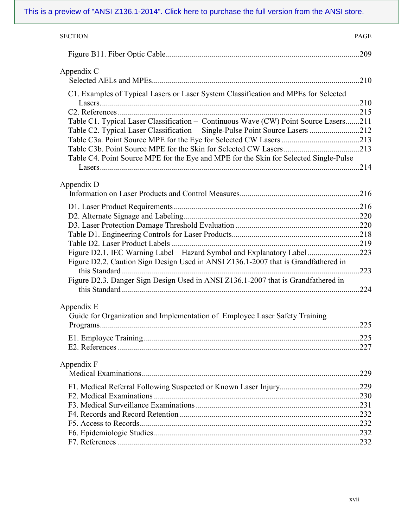| <b>SECTION</b>                                                                            | <b>PAGE</b> |
|-------------------------------------------------------------------------------------------|-------------|
|                                                                                           | .209        |
| Appendix C                                                                                |             |
|                                                                                           | .210        |
| C1. Examples of Typical Lasers or Laser System Classification and MPEs for Selected       |             |
|                                                                                           |             |
|                                                                                           |             |
| Table C1. Typical Laser Classification - Continuous Wave (CW) Point Source Lasers211      |             |
| Table C2. Typical Laser Classification - Single-Pulse Point Source Lasers 212             |             |
|                                                                                           |             |
|                                                                                           |             |
| Table C4. Point Source MPE for the Eye and MPE for the Skin for Selected Single-Pulse     |             |
|                                                                                           |             |
| Appendix D                                                                                |             |
|                                                                                           |             |
|                                                                                           |             |
|                                                                                           |             |
|                                                                                           |             |
|                                                                                           |             |
|                                                                                           |             |
| Figure D2.1. IEC Warning Label – Hazard Symbol and Explanatory Label 223                  |             |
| Figure D2.2. Caution Sign Design Used in ANSI Z136.1-2007 that is Grandfathered in        |             |
|                                                                                           | .223        |
| Figure D2.3. Danger Sign Design Used in ANSI Z136.1-2007 that is Grandfathered in         |             |
|                                                                                           |             |
| Appendix E<br>Guide for Organization and Implementation of Employee Laser Safety Training |             |
|                                                                                           |             |
|                                                                                           |             |
|                                                                                           |             |
|                                                                                           |             |
| Appendix F                                                                                | .229        |
|                                                                                           |             |
|                                                                                           |             |
|                                                                                           |             |
|                                                                                           |             |
|                                                                                           |             |
|                                                                                           |             |
|                                                                                           |             |
|                                                                                           |             |
|                                                                                           |             |